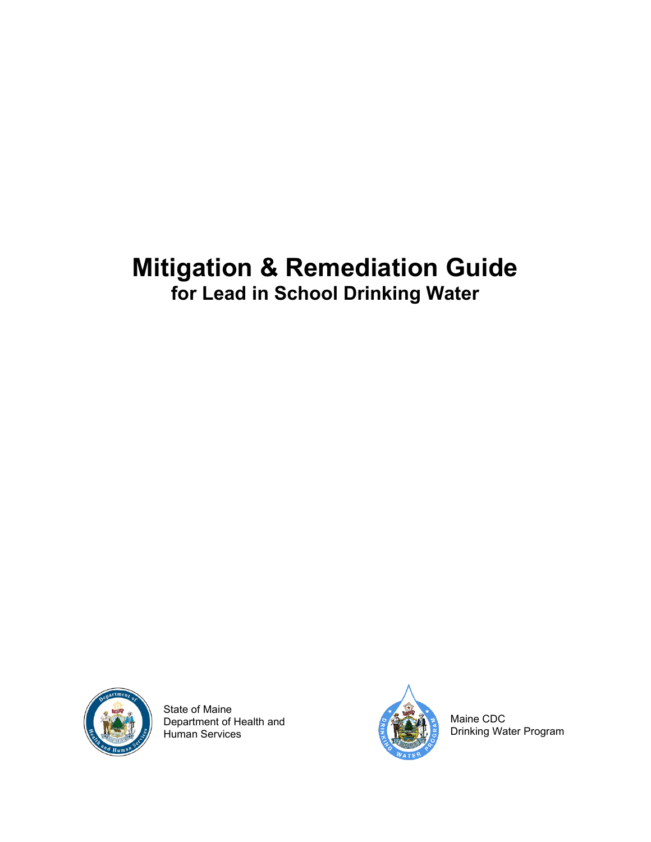# **Mitigation & Remediation Guide for Lead in School Drinking Water**



State of Maine Department of Health and Human Services



Maine CDC Drinking Water Program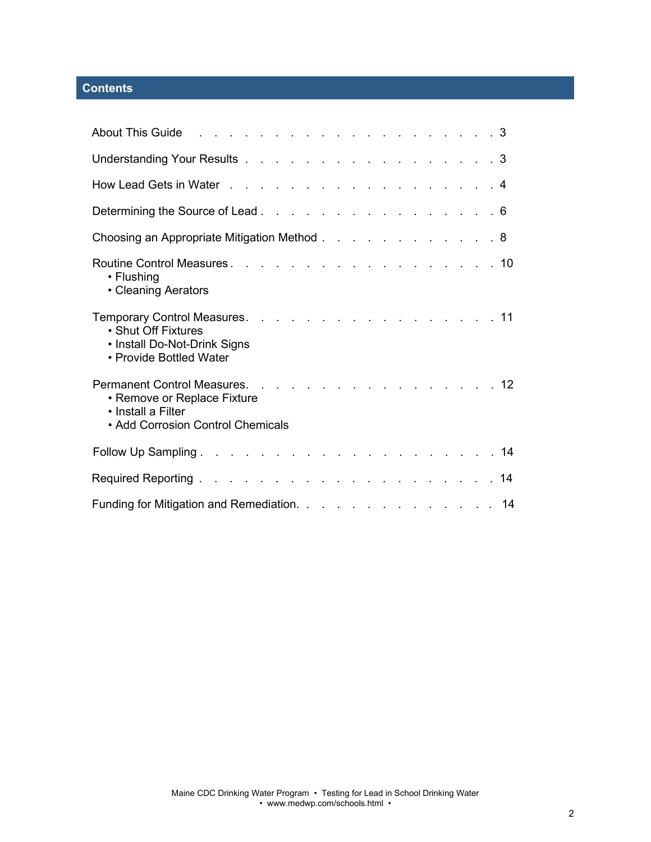# **Contents**

| About This Guide research and the service and the service of the service of the South This is a service of the           |  |
|--------------------------------------------------------------------------------------------------------------------------|--|
| Understanding Your Results 3                                                                                             |  |
| How Lead Gets in Water 4                                                                                                 |  |
| Determining the Source of Lead 6                                                                                         |  |
| Choosing an Appropriate Mitigation Method 8                                                                              |  |
| • Flushing<br>• Cleaning Aerators                                                                                        |  |
| Temporary Control Measures. 11<br>• Shut Off Fixtures<br>• Install Do-Not-Drink Signs<br>• Provide Bottled Water         |  |
| Permanent Control Measures. 12<br>• Remove or Replace Fixture<br>• Install a Filter<br>• Add Corrosion Control Chemicals |  |
|                                                                                                                          |  |
|                                                                                                                          |  |
| Funding for Mitigation and Remediation. 14                                                                               |  |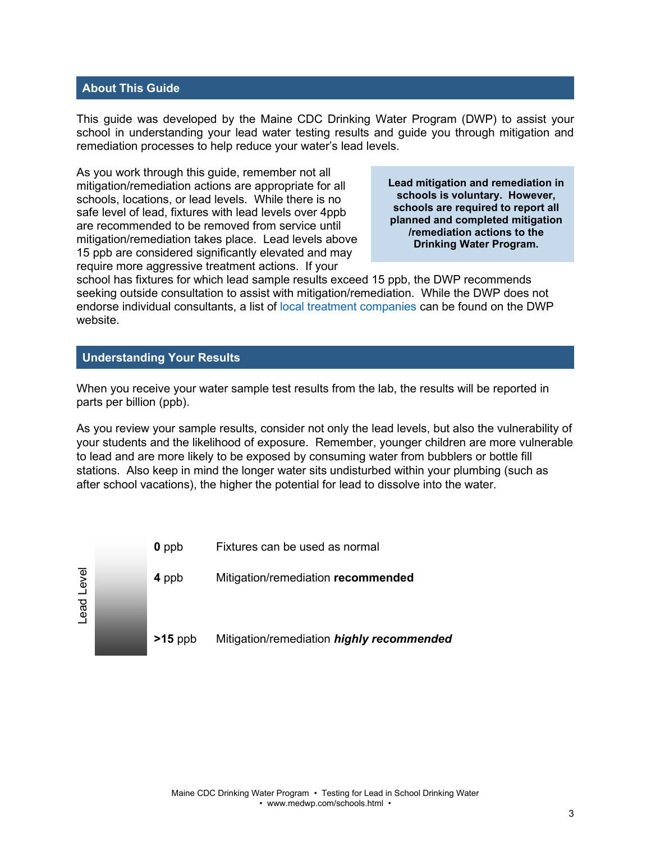# **About This Guide**

This guide was developed by the Maine CDC Drinking Water Program (DWP) to assist your school in understanding your lead water testing results and guide you through mitigation and remediation processes to help reduce your water's lead levels.

As you work through this guide, remember not all mitigation/remediation actions are appropriate for all schools, locations, or lead levels. While there is no safe level of lead, fixtures with lead levels over 4ppb are recommended to be removed from service until mitigation/remediation takes place. Lead levels above 15 ppb are considered significantly elevated and may require more aggressive treatment actions. If your

**Lead mitigation and remediation in schools is voluntary. However, schools are required to report all planned and completed mitigation /remediation actions to the Drinking Water Program.**

school has fixtures for which lead sample results exceed 15 ppb, the DWP recommends seeking outside consultation to assist with mitigation/remediation. While the DWP does not endorse individual consultants, a list of [local treatment companies](https://www.maine.gov/dhhs/mecdc/environmental-health/dwp/pws/treatmentResources.shtml) can be found on the DWP website.

## **Understanding Your Results**

When you receive your water sample test results from the lab, the results will be reported in parts per billion (ppb).

As you review your sample results, consider not only the lead levels, but also the vulnerability of your students and the likelihood of exposure. Remember, younger children are more vulnerable to lead and are more likely to be exposed by consuming water from bubblers or bottle fill stations. Also keep in mind the longer water sits undisturbed within your plumbing (such as after school vacations), the higher the potential for lead to dissolve into the water.

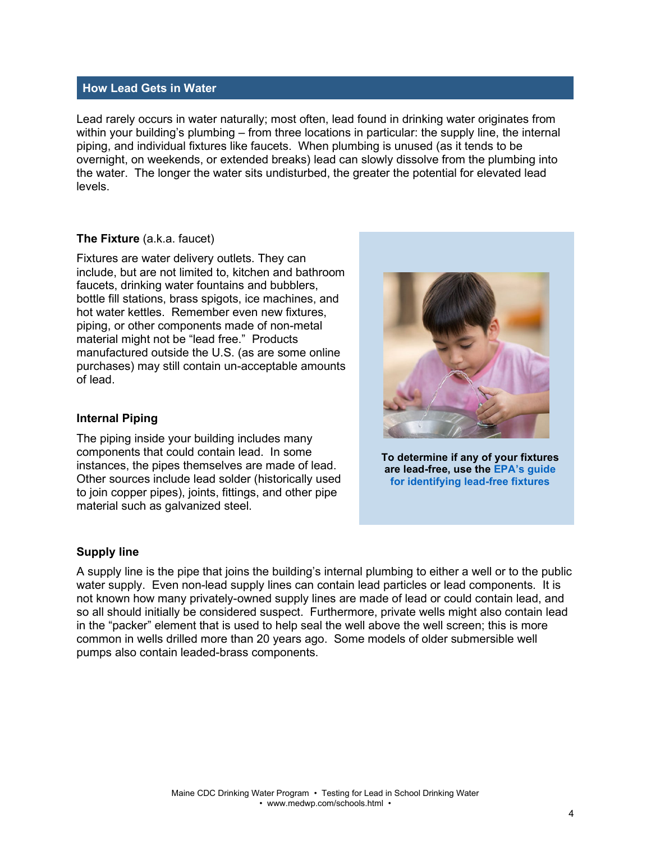#### **How Lead Gets in Water**

Lead rarely occurs in water naturally; most often, lead found in drinking water originates from within your building's plumbing – from three locations in particular: the supply line, the internal piping, and individual fixtures like faucets. When plumbing is unused (as it tends to be overnight, on weekends, or extended breaks) lead can slowly dissolve from the plumbing into the water. The longer the water sits undisturbed, the greater the potential for elevated lead levels.

#### **The Fixture** (a.k.a. faucet)

Fixtures are water delivery outlets. They can include, but are not limited to, kitchen and bathroom faucets, drinking water fountains and bubblers, bottle fill stations, brass spigots, ice machines, and hot water kettles. Remember even new fixtures, piping, or other components made of non-metal material might not be "lead free." Products manufactured outside the U.S. (as are some online purchases) may still contain un-acceptable amounts of lead.

## **Internal Piping**

The piping inside your building includes many components that could contain lead. In some instances, the pipes themselves are made of lead. Other sources include lead solder (historically used to join copper pipes), joints, fittings, and other pipe material such as galvanized steel.

#### **Supply line**

A supply line is the pipe that joins the building's internal plumbing to either a well or to the public water supply. Even non-lead supply lines can contain lead particles or lead components. It is not known how many privately-owned supply lines are made of lead or could contain lead, and so all should initially be considered suspect. Furthermore, private wells might also contain lead in the "packer" element that is used to help seal the well above the well screen; this is more common in wells drilled more than 20 years ago. Some models of older submersible well pumps also contain leaded-brass components.



**To determine if any of your fixtures are lead-free, use the [EPA's guide](https://tinyurl.com/pb-epa) [for identifying lead-free fixtures](https://tinyurl.com/pb-epa)**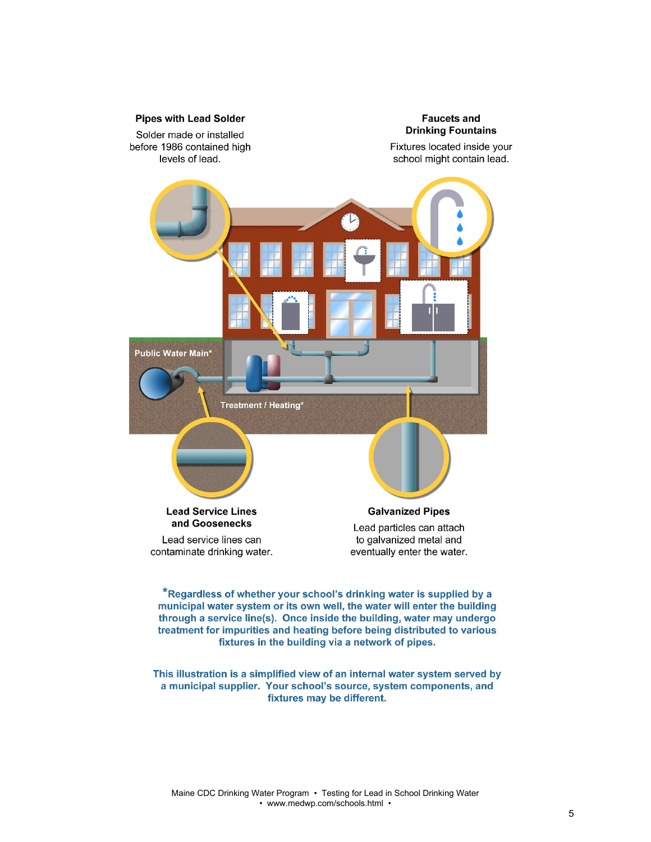

\*Regardless of whether your school's drinking water is supplied by a municipal water system or its own well, the water will enter the building through a service line(s). Once inside the building, water may undergo treatment for impurities and heating before being distributed to various fixtures in the building via a network of pipes.

This illustration is a simplified view of an internal water system served by a municipal supplier. Your school's source, system components, and fixtures may be different.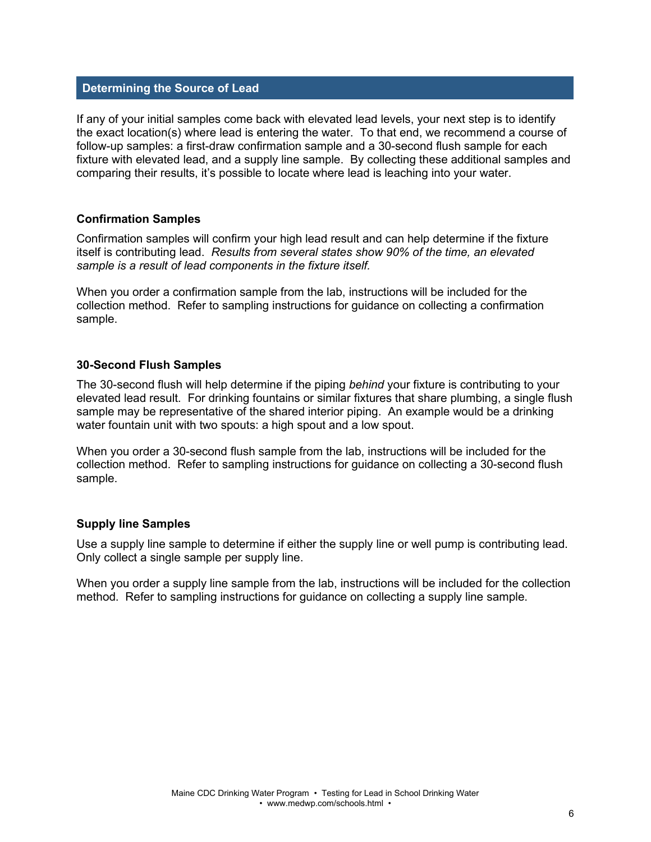# **Determining the Source of Lead**

If any of your initial samples come back with elevated lead levels, your next step is to identify the exact location(s) where lead is entering the water. To that end, we recommend a course of follow-up samples: a first-draw confirmation sample and a 30-second flush sample for each fixture with elevated lead, and a supply line sample. By collecting these additional samples and comparing their results, it's possible to locate where lead is leaching into your water.

# **Confirmation Samples**

Confirmation samples will confirm your high lead result and can help determine if the fixture itself is contributing lead. *Results from several states show 90% of the time, an elevated sample is a result of lead components in the fixture itself.*

When you order a confirmation sample from the lab, instructions will be included for the collection method. Refer to sampling instructions for guidance on collecting a confirmation sample.

# **30-Second Flush Samples**

The 30-second flush will help determine if the piping *behind* your fixture is contributing to your elevated lead result. For drinking fountains or similar fixtures that share plumbing, a single flush sample may be representative of the shared interior piping. An example would be a drinking water fountain unit with two spouts: a high spout and a low spout.

When you order a 30-second flush sample from the lab, instructions will be included for the collection method. Refer to sampling instructions for guidance on collecting a 30-second flush sample.

#### **Supply line Samples**

Use a supply line sample to determine if either the supply line or well pump is contributing lead. Only collect a single sample per supply line.

When you order a supply line sample from the lab, instructions will be included for the collection method. Refer to sampling instructions for guidance on collecting a supply line sample.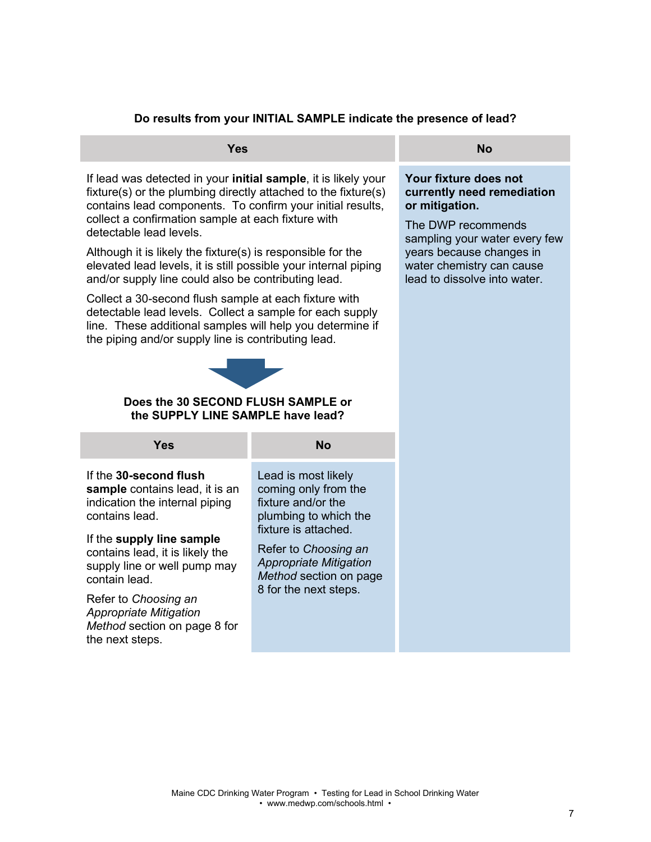# **Do results from your INITIAL SAMPLE indicate the presence of lead?**

few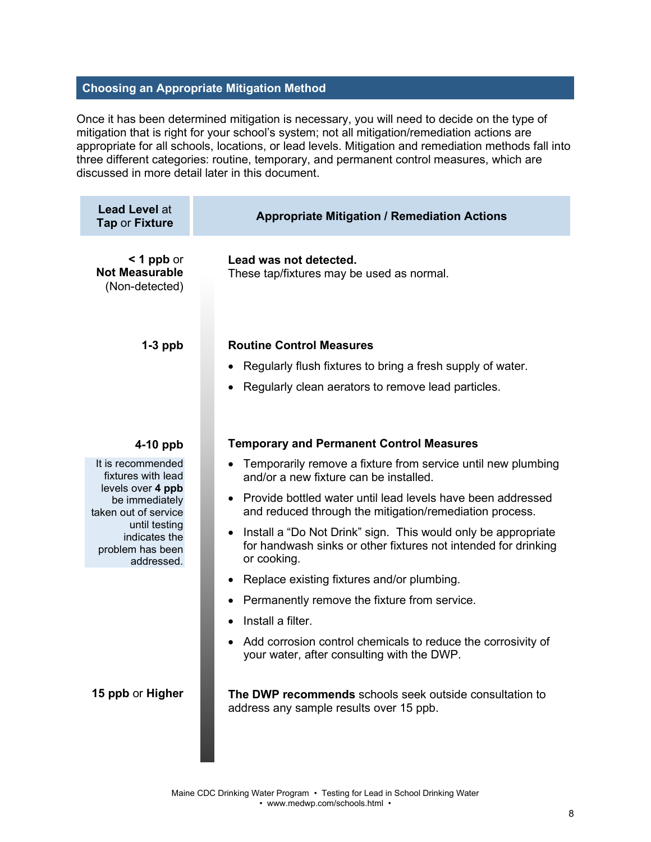# **Choosing an Appropriate Mitigation Method**

Once it has been determined mitigation is necessary, you will need to decide on the type of mitigation that is right for your school's system; not all mitigation/remediation actions are appropriate for all schools, locations, or lead levels. Mitigation and remediation methods fall into three different categories: routine, temporary, and permanent control measures, which are discussed in more detail later in this document.

| <b>Lead Level at</b><br><b>Tap or Fixture</b>                                                                                                                              | <b>Appropriate Mitigation / Remediation Actions</b>                                                                                                                                                                                                                                                                                                                                                                                                                                                                                                                                                                        |
|----------------------------------------------------------------------------------------------------------------------------------------------------------------------------|----------------------------------------------------------------------------------------------------------------------------------------------------------------------------------------------------------------------------------------------------------------------------------------------------------------------------------------------------------------------------------------------------------------------------------------------------------------------------------------------------------------------------------------------------------------------------------------------------------------------------|
| $<$ 1 ppb or<br><b>Not Measurable</b><br>(Non-detected)                                                                                                                    | Lead was not detected.<br>These tap/fixtures may be used as normal.                                                                                                                                                                                                                                                                                                                                                                                                                                                                                                                                                        |
| $1-3$ ppb                                                                                                                                                                  | <b>Routine Control Measures</b><br>Regularly flush fixtures to bring a fresh supply of water.<br>Regularly clean aerators to remove lead particles.                                                                                                                                                                                                                                                                                                                                                                                                                                                                        |
| $4-10$ ppb                                                                                                                                                                 | <b>Temporary and Permanent Control Measures</b>                                                                                                                                                                                                                                                                                                                                                                                                                                                                                                                                                                            |
| It is recommended<br>fixtures with lead<br>levels over 4 ppb<br>be immediately<br>taken out of service<br>until testing<br>indicates the<br>problem has been<br>addressed. | Temporarily remove a fixture from service until new plumbing<br>and/or a new fixture can be installed.<br>• Provide bottled water until lead levels have been addressed<br>and reduced through the mitigation/remediation process.<br>Install a "Do Not Drink" sign. This would only be appropriate<br>for handwash sinks or other fixtures not intended for drinking<br>or cooking.<br>Replace existing fixtures and/or plumbing.<br>٠<br>Permanently remove the fixture from service.<br>Install a filter.<br>Add corrosion control chemicals to reduce the corrosivity of<br>your water, after consulting with the DWP. |
| 15 ppb or Higher                                                                                                                                                           | The DWP recommends schools seek outside consultation to<br>address any sample results over 15 ppb.                                                                                                                                                                                                                                                                                                                                                                                                                                                                                                                         |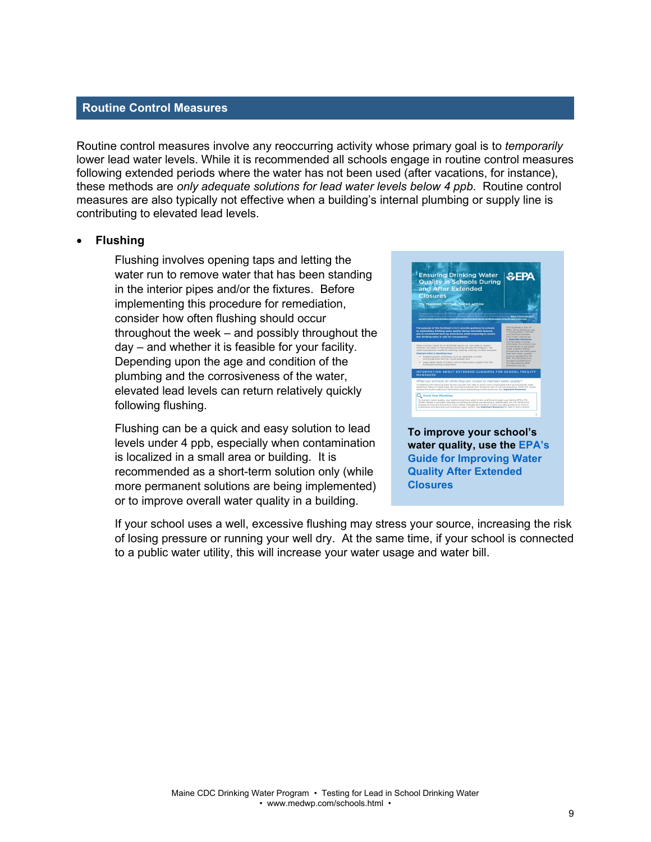#### **Routine Control Measures**

Routine control measures involve any reoccurring activity whose primary goal is to *temporarily* lower lead water levels. While it is recommended all schools engage in routine control measures following extended periods where the water has not been used (after vacations, for instance), these methods are *only adequate solutions for lead water levels below 4 ppb*. Routine control measures are also typically not effective when a building's internal plumbing or supply line is contributing to elevated lead levels.

#### • **Flushing**

Flushing involves opening taps and letting the water run to remove water that has been standing in the interior pipes and/or the fixtures. Before implementing this procedure for remediation, consider how often flushing should occur throughout the week – and possibly throughout the day – and whether it is feasible for your facility. Depending upon the age and condition of the plumbing and the corrosiveness of the water, elevated lead levels can return relatively quickly following flushing.

Flushing can be a quick and easy solution to lead levels under 4 ppb, especially when contamination is localized in a small area or building. It is recommended as a short-term solution only (while more permanent solutions are being implemented) or to improve overall water quality in a building.



If your school uses a well, excessive flushing may stress your source, increasing the risk of losing pressure or running your well dry. At the same time, if your school is connected to a public water utility, this will increase your water usage and water bill.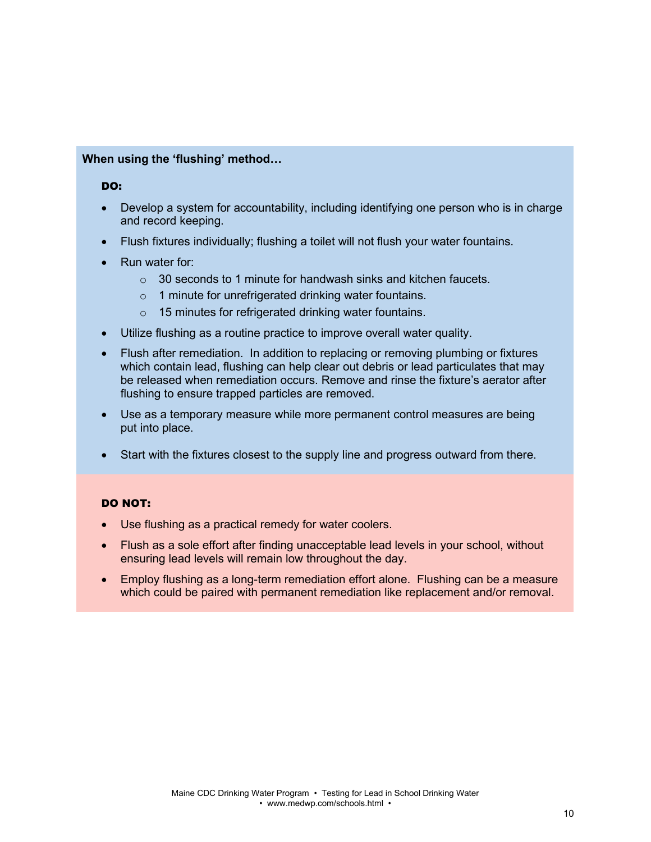# **When using the 'flushing' method…**

#### DO:

- Develop a system for accountability, including identifying one person who is in charge and record keeping.
- Flush fixtures individually; flushing a toilet will not flush your water fountains.
- Run water for:
	- $\circ$  30 seconds to 1 minute for handwash sinks and kitchen faucets.
	- o 1 minute for unrefrigerated drinking water fountains.
	- o 15 minutes for refrigerated drinking water fountains.
- Utilize flushing as a routine practice to improve overall water quality.
- Flush after remediation. In addition to replacing or removing plumbing or fixtures which contain lead, flushing can help clear out debris or lead particulates that may be released when remediation occurs. Remove and rinse the fixture's aerator after flushing to ensure trapped particles are removed.
- Use as a temporary measure while more permanent control measures are being put into place.
- Start with the fixtures closest to the supply line and progress outward from there.

#### DO NOT:

- Use flushing as a practical remedy for water coolers.
- Flush as a sole effort after finding unacceptable lead levels in your school, without ensuring lead levels will remain low throughout the day.
- Employ flushing as a long-term remediation effort alone. Flushing can be a measure which could be paired with permanent remediation like replacement and/or removal.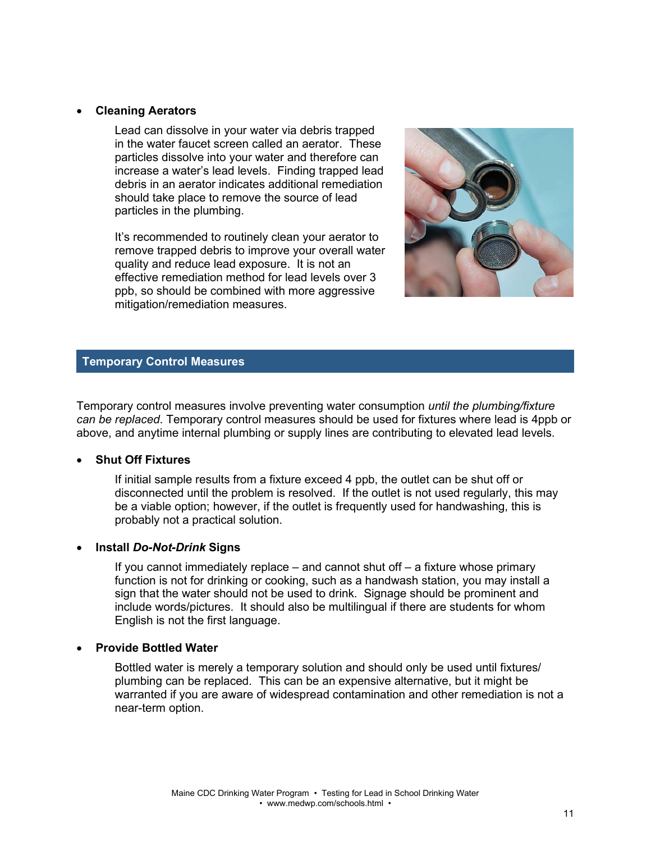# • **Cleaning Aerators**

Lead can dissolve in your water via debris trapped in the water faucet screen called an aerator. These particles dissolve into your water and therefore can increase a water's lead levels. Finding trapped lead debris in an aerator indicates additional remediation should take place to remove the source of lead particles in the plumbing.

It's recommended to routinely clean your aerator to remove trapped debris to improve your overall water quality and reduce lead exposure. It is not an effective remediation method for lead levels over 3 ppb, so should be combined with more aggressive mitigation/remediation measures.



# **Temporary Control Measures**

Temporary control measures involve preventing water consumption *until the plumbing/fixture can be replaced*. Temporary control measures should be used for fixtures where lead is 4ppb or above, and anytime internal plumbing or supply lines are contributing to elevated lead levels.

#### • **Shut Off Fixtures**

If initial sample results from a fixture exceed 4 ppb, the outlet can be shut off or disconnected until the problem is resolved. If the outlet is not used regularly, this may be a viable option; however, if the outlet is frequently used for handwashing, this is probably not a practical solution.

#### • **Install** *Do-Not-Drink* **Signs**

If you cannot immediately replace – and cannot shut off – a fixture whose primary function is not for drinking or cooking, such as a handwash station, you may install a sign that the water should not be used to drink. Signage should be prominent and include words/pictures. It should also be multilingual if there are students for whom English is not the first language.

#### • **Provide Bottled Water**

Bottled water is merely a temporary solution and should only be used until fixtures/ plumbing can be replaced. This can be an expensive alternative, but it might be warranted if you are aware of widespread contamination and other remediation is not a near-term option.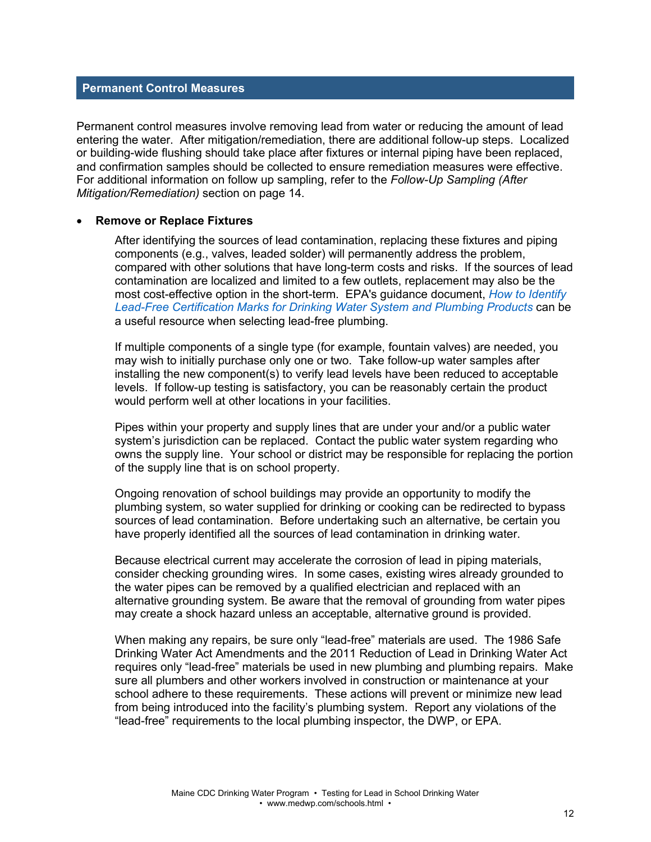# **Permanent Control Measures**

Permanent control measures involve removing lead from water or reducing the amount of lead entering the water. After mitigation/remediation, there are additional follow-up steps. Localized or building-wide flushing should take place after fixtures or internal piping have been replaced, and confirmation samples should be collected to ensure remediation measures were effective. For additional information on follow up sampling, refer to the *Follow-Up Sampling (After Mitigation/Remediation)* section on page 14.

#### • **Remove or Replace Fixtures**

After identifying the sources of lead contamination, replacing these fixtures and piping components (e.g., valves, leaded solder) will permanently address the problem, compared with other solutions that have long-term costs and risks. If the sources of lead contamination are localized and limited to a few outlets, replacement may also be the most cost-effective option in the short-term. EPA's guidance document, *[How to Identify](https://tinyurl.com/pb-epa)  [Lead-Free Certification Marks for Drinking Water System and](https://tinyurl.com/pb-epa) Plumbing Products* can be a useful resource when selecting lead-free plumbing.

If multiple components of a single type (for example, fountain valves) are needed, you may wish to initially purchase only one or two. Take follow-up water samples after installing the new component(s) to verify lead levels have been reduced to acceptable levels. If follow-up testing is satisfactory, you can be reasonably certain the product would perform well at other locations in your facilities.

Pipes within your property and supply lines that are under your and/or a public water system's jurisdiction can be replaced. Contact the public water system regarding who owns the supply line. Your school or district may be responsible for replacing the portion of the supply line that is on school property.

Ongoing renovation of school buildings may provide an opportunity to modify the plumbing system, so water supplied for drinking or cooking can be redirected to bypass sources of lead contamination. Before undertaking such an alternative, be certain you have properly identified all the sources of lead contamination in drinking water.

Because electrical current may accelerate the corrosion of lead in piping materials, consider checking grounding wires. In some cases, existing wires already grounded to the water pipes can be removed by a qualified electrician and replaced with an alternative grounding system. Be aware that the removal of grounding from water pipes may create a shock hazard unless an acceptable, alternative ground is provided.

When making any repairs, be sure only "lead-free" materials are used. The 1986 Safe Drinking Water Act Amendments and the 2011 Reduction of Lead in Drinking Water Act requires only "lead-free" materials be used in new plumbing and plumbing repairs. Make sure all plumbers and other workers involved in construction or maintenance at your school adhere to these requirements. These actions will prevent or minimize new lead from being introduced into the facility's plumbing system. Report any violations of the "lead-free" requirements to the local plumbing inspector, the DWP, or EPA.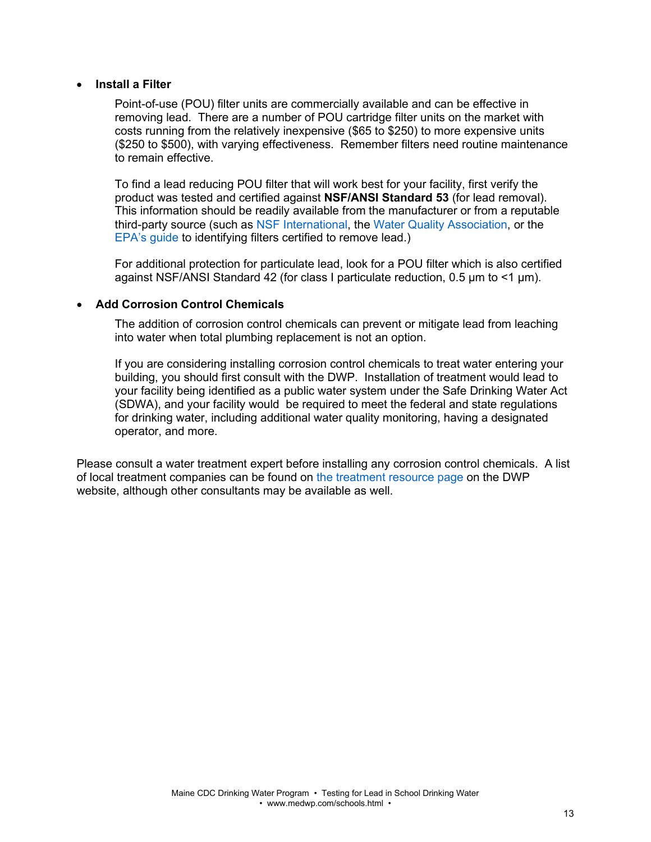### • **Install a Filter**

Point-of-use (POU) filter units are commercially available and can be effective in removing lead. There are a number of POU cartridge filter units on the market with costs running from the relatively inexpensive (\$65 to \$250) to more expensive units (\$250 to \$500), with varying effectiveness. Remember filters need routine maintenance to remain effective.

To find a lead reducing POU filter that will work best for your facility, first verify the product was tested and certified against **NSF/ANSI Standard 53** (for lead removal). This information should be readily available from the manufacturer or from a reputable third-party source (such as [NSF International,](http://www.nsf.org/) the [Water Quality Association,](https://wqa.org/) or the [EPA's guide](https://www.epa.gov/sites/default/files/2018-12/documents/consumer_tool_for_identifying_drinking_water_filters_certified_to_reduce_lead.pdf) to identifying filters certified to remove lead.)

For additional protection for particulate lead, look for a POU filter which is also certified against NSF/ANSI Standard 42 (for class I particulate reduction, 0.5 μm to <1 μm).

# • **Add Corrosion Control Chemicals**

The addition of corrosion control chemicals can prevent or mitigate lead from leaching into water when total plumbing replacement is not an option.

If you are considering installing corrosion control chemicals to treat water entering your building, you should first consult with the DWP. Installation of treatment would lead to your facility being identified as a public water system under the Safe Drinking Water Act (SDWA), and your facility would be required to meet the federal and state regulations for drinking water, including additional water quality monitoring, having a designated operator, and more.

Please consult a water treatment expert before installing any corrosion control chemicals. A list of local treatment companies can be found on [the treatment resource page](https://www.maine.gov/dhhs/mecdc/environmental-health/dwp/pws/treatmentResources.shtml) on the DWP website, although other consultants may be available as well.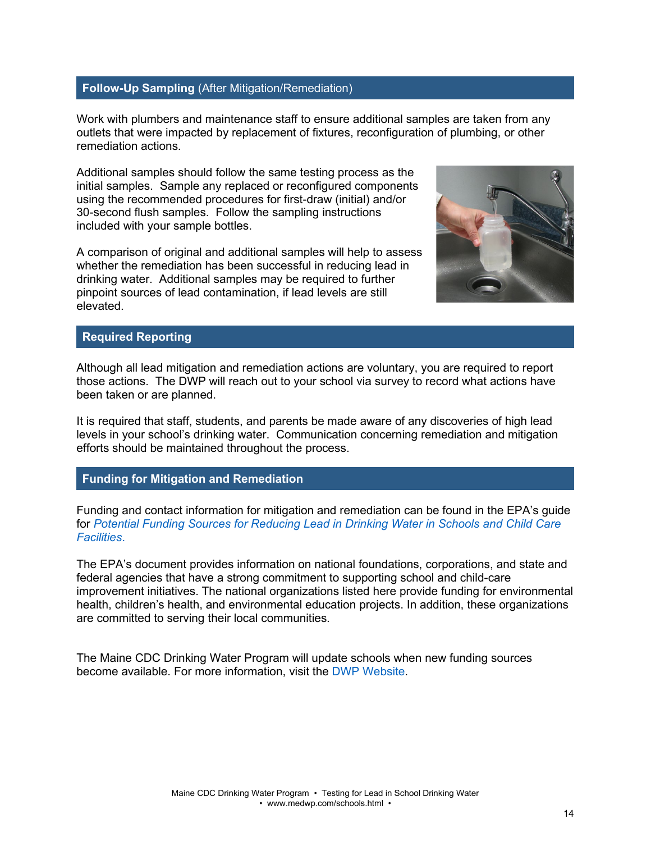# **Follow-Up Sampling** (After Mitigation/Remediation)

Work with plumbers and maintenance staff to ensure additional samples are taken from any outlets that were impacted by replacement of fixtures, reconfiguration of plumbing, or other remediation actions.

Additional samples should follow the same testing process as the initial samples. Sample any replaced or reconfigured components using the recommended procedures for first-draw (initial) and/or 30-second flush samples. Follow the sampling instructions included with your sample bottles.

A comparison of original and additional samples will help to assess whether the remediation has been successful in reducing lead in drinking water. Additional samples may be required to further pinpoint sources of lead contamination, if lead levels are still elevated.



# **Required Reporting**

Although all lead mitigation and remediation actions are voluntary, you are required to report those actions. The DWP will reach out to your school via survey to record what actions have been taken or are planned.

It is required that staff, students, and parents be made aware of any discoveries of high lead levels in your school's drinking water. Communication concerning remediation and mitigation efforts should be maintained throughout the process.

#### **Funding for Mitigation and Remediation**

Funding and contact information for mitigation and remediation can be found in the EPA's guide for *[Potential Funding Sources for Reducing Lead in Drinking Water in Schools and Child Care](https://www.epa.gov/sites/production/files/2019-10/documents/3ts_funding_document_2019_508_v2.pdf)  [Facilities](https://www.epa.gov/sites/production/files/2019-10/documents/3ts_funding_document_2019_508_v2.pdf)*.

The EPA's document provides information on national foundations, corporations, and state and federal agencies that have a strong commitment to supporting school and child-care improvement initiatives. The national organizations listed here provide funding for environmental health, children's health, and environmental education projects. In addition, these organizations are committed to serving their local communities.

The Maine CDC Drinking Water Program will update schools when new funding sources become available. For more information, visit the DWP [Website.](http://www.medwp.com/schools.html)